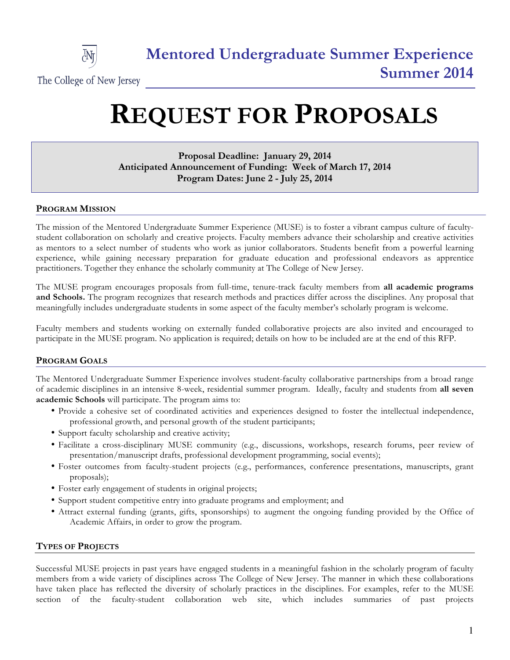

# **REQUEST FOR PROPOSALS**

# **Proposal Deadline: January 29, 2014 Anticipated Announcement of Funding: Week of March 17, 2014 Program Dates: June 2 - July 25, 2014**

# **PROGRAM MISSION**

The mission of the Mentored Undergraduate Summer Experience (MUSE) is to foster a vibrant campus culture of facultystudent collaboration on scholarly and creative projects. Faculty members advance their scholarship and creative activities as mentors to a select number of students who work as junior collaborators. Students benefit from a powerful learning experience, while gaining necessary preparation for graduate education and professional endeavors as apprentice practitioners. Together they enhance the scholarly community at The College of New Jersey.

The MUSE program encourages proposals from full-time, tenure-track faculty members from **all academic programs and Schools.** The program recognizes that research methods and practices differ across the disciplines. Any proposal that meaningfully includes undergraduate students in some aspect of the faculty member's scholarly program is welcome.

Faculty members and students working on externally funded collaborative projects are also invited and encouraged to participate in the MUSE program. No application is required; details on how to be included are at the end of this RFP.

# **PROGRAM GOALS**

The Mentored Undergraduate Summer Experience involves student-faculty collaborative partnerships from a broad range of academic disciplines in an intensive 8-week, residential summer program. Ideally, faculty and students from **all seven academic Schools** will participate. The program aims to:

- Provide a cohesive set of coordinated activities and experiences designed to foster the intellectual independence, professional growth, and personal growth of the student participants;
- Support faculty scholarship and creative activity;
- Facilitate a cross-disciplinary MUSE community (e.g., discussions, workshops, research forums, peer review of presentation/manuscript drafts, professional development programming, social events);
- Foster outcomes from faculty-student projects (e.g., performances, conference presentations, manuscripts, grant proposals);
- Foster early engagement of students in original projects;
- Support student competitive entry into graduate programs and employment; and
- Attract external funding (grants, gifts, sponsorships) to augment the ongoing funding provided by the Office of Academic Affairs, in order to grow the program.

# **TYPES OF PROJECTS**

Successful MUSE projects in past years have engaged students in a meaningful fashion in the scholarly program of faculty members from a wide variety of disciplines across The College of New Jersey. The manner in which these collaborations have taken place has reflected the diversity of scholarly practices in the disciplines. For examples, refer to the MUSE section of the faculty-student collaboration web site, which includes summaries of past projects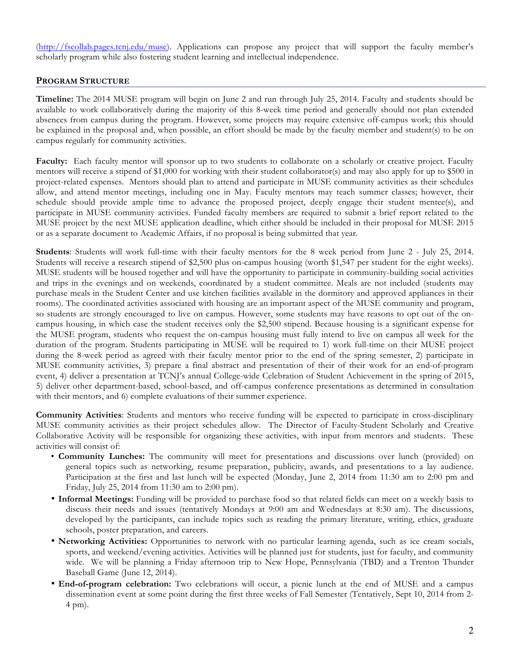(http://fscollab.pages.tcnj.edu/muse). Applications can propose any project that will support the faculty member's scholarly program while also fostering student learning and intellectual independence.

#### **PROGRAM STRUCTURE**

**Timeline:** The 2014 MUSE program will begin on June 2 and run through July 25, 2014. Faculty and students should be available to work collaboratively during the majority of this 8-week time period and generally should not plan extended absences from campus during the program. However, some projects may require extensive off-campus work; this should be explained in the proposal and, when possible, an effort should be made by the faculty member and student(s) to be on campus regularly for community activities.

**Faculty:** Each faculty mentor will sponsor up to two students to collaborate on a scholarly or creative project. Faculty mentors will receive a stipend of \$1,000 for working with their student collaborator(s) and may also apply for up to \$500 in project-related expenses. Mentors should plan to attend and participate in MUSE community activities as their schedules allow, and attend mentor meetings, including one in May. Faculty mentors may teach summer classes; however, their schedule should provide ample time to advance the proposed project, deeply engage their student mentee(s), and participate in MUSE community activities. Funded faculty members are required to submit a brief report related to the MUSE project by the next MUSE application deadline, which either should be included in their proposal for MUSE 2015 or as a separate document to Academic Affairs, if no proposal is being submitted that year.

**Students**: Students will work full-time with their faculty mentors for the 8 week period from June 2 - July 25, 2014. Students will receive a research stipend of \$2,500 plus on-campus housing (worth \$1,547 per student for the eight weeks). MUSE students will be housed together and will have the opportunity to participate in community-building social activities and trips in the evenings and on weekends, coordinated by a student committee. Meals are not included (students may purchase meals in the Student Center and use kitchen facilities available in the dormitory and approved appliances in their rooms). The coordinated activities associated with housing are an important aspect of the MUSE community and program, so students are strongly encouraged to live on campus. However, some students may have reasons to opt out of the oncampus housing, in which case the student receives only the \$2,500 stipend. Because housing is a significant expense for the MUSE program, students who request the on-campus housing must fully intend to live on campus all week for the duration of the program. Students participating in MUSE will be required to 1) work full-time on their MUSE project during the 8-week period as agreed with their faculty mentor prior to the end of the spring semester, 2) participate in MUSE community activities, 3) prepare a final abstract and presentation of their of their work for an end-of-program event, 4) deliver a presentation at TCNJ's annual College-wide Celebration of Student Achievement in the spring of 2015, 5) deliver other department-based, school-based, and off-campus conference presentations as determined in consultation with their mentors, and 6) complete evaluations of their summer experience.

**Community Activities**: Students and mentors who receive funding will be expected to participate in cross-disciplinary MUSE community activities as their project schedules allow. The Director of Faculty-Student Scholarly and Creative Collaborative Activity will be responsible for organizing these activities, with input from mentors and students. These activities will consist of:

- **Community Lunches:** The community will meet for presentations and discussions over lunch (provided) on general topics such as networking, resume preparation, publicity, awards, and presentations to a lay audience. Participation at the first and last lunch will be expected (Monday, June 2, 2014 from 11:30 am to 2:00 pm and Friday, July 25, 2014 from 11:30 am to 2:00 pm).
- **Informal Meetings:** Funding will be provided to purchase food so that related fields can meet on a weekly basis to discuss their needs and issues (tentatively Mondays at 9:00 am and Wednesdays at 8:30 am). The discussions, developed by the participants, can include topics such as reading the primary literature, writing, ethics, graduate schools, poster preparation, and careers.
- **Networking Activities:** Opportunities to network with no particular learning agenda, such as ice cream socials, sports, and weekend/evening activities. Activities will be planned just for students, just for faculty, and community wide. We will be planning a Friday afternoon trip to New Hope, Pennsylvania (TBD) and a Trenton Thunder Baseball Game (June 12, 2014).
- **End-of-program celebration:** Two celebrations will occur, a picnic lunch at the end of MUSE and a campus dissemination event at some point during the first three weeks of Fall Semester (Tentatively, Sept 10, 2014 from 2- 4 pm).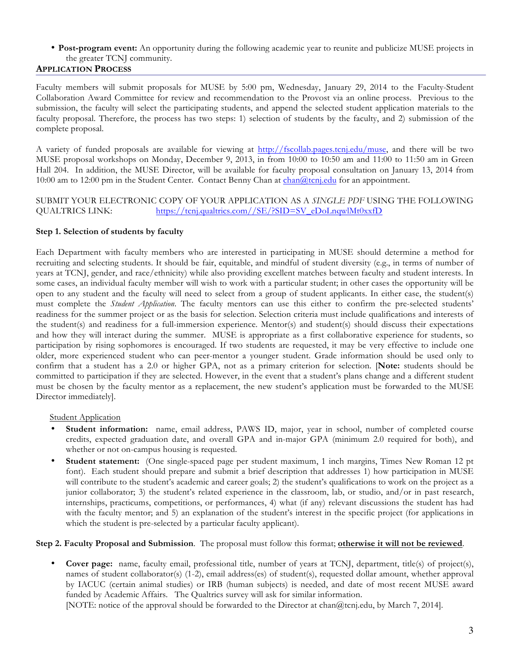# • **Post-program event:** An opportunity during the following academic year to reunite and publicize MUSE projects in the greater TCNJ community.

# **APPLICATION PROCESS**

Faculty members will submit proposals for MUSE by 5:00 pm, Wednesday, January 29, 2014 to the Faculty-Student Collaboration Award Committee for review and recommendation to the Provost via an online process. Previous to the submission, the faculty will select the participating students, and append the selected student application materials to the faculty proposal. Therefore, the process has two steps: 1) selection of students by the faculty, and 2) submission of the complete proposal.

A variety of funded proposals are available for viewing at http://fscollab.pages.tcnj.edu/muse, and there will be two MUSE proposal workshops on Monday, December 9, 2013, in from 10:00 to 10:50 am and 11:00 to 11:50 am in Green Hall 204. In addition, the MUSE Director, will be available for faculty proposal consultation on January 13, 2014 from 10:00 am to 12:00 pm in the Student Center. Contact Benny Chan at chan@tcnj.edu for an appointment.

#### SUBMIT YOUR ELECTRONIC COPY OF YOUR APPLICATION AS A *SINGLE PDF* USING THE FOLLOWING QUALTRICS LINK: https://tcnj.qualtrics.com//SE/?SID=SV\_eDoLnqwlMt0xxfD

### **Step 1. Selection of students by faculty**

Each Department with faculty members who are interested in participating in MUSE should determine a method for recruiting and selecting students. It should be fair, equitable, and mindful of student diversity (e.g., in terms of number of years at TCNJ, gender, and race/ethnicity) while also providing excellent matches between faculty and student interests. In some cases, an individual faculty member will wish to work with a particular student; in other cases the opportunity will be open to any student and the faculty will need to select from a group of student applicants. In either case, the student(s) must complete the *Student Application*. The faculty mentors can use this either to confirm the pre-selected students' readiness for the summer project or as the basis for selection. Selection criteria must include qualifications and interests of the student(s) and readiness for a full-immersion experience. Mentor(s) and student(s) should discuss their expectations and how they will interact during the summer. MUSE is appropriate as a first collaborative experience for students, so participation by rising sophomores is encouraged. If two students are requested, it may be very effective to include one older, more experienced student who can peer-mentor a younger student. Grade information should be used only to confirm that a student has a 2.0 or higher GPA, not as a primary criterion for selection. [**Note:** students should be committed to participation if they are selected. However, in the event that a student's plans change and a different student must be chosen by the faculty mentor as a replacement, the new student's application must be forwarded to the MUSE Director immediately].

#### **Student Application**

- **Student information:** name, email address, PAWS ID, major, year in school, number of completed course credits, expected graduation date, and overall GPA and in-major GPA (minimum 2.0 required for both), and whether or not on-campus housing is requested.
- **Student statement:** (One single-spaced page per student maximum, 1 inch margins, Times New Roman 12 pt font).Each student should prepare and submit a brief description that addresses 1) how participation in MUSE will contribute to the student's academic and career goals; 2) the student's qualifications to work on the project as a junior collaborator; 3) the student's related experience in the classroom, lab, or studio, and/or in past research, internships, practicums, competitions, or performances, 4) what (if any) relevant discussions the student has had with the faculty mentor; and 5) an explanation of the student's interest in the specific project (for applications in which the student is pre-selected by a particular faculty applicant).

#### **Step 2. Faculty Proposal and Submission**. The proposal must follow this format; **otherwise it will not be reviewed**.

• **Cover page:** name, faculty email, professional title, number of years at TCNJ, department, title(s) of project(s), names of student collaborator(s) (1-2), email address(es) of student(s), requested dollar amount, whether approval by IACUC (certain animal studies) or IRB (human subjects) is needed, and date of most recent MUSE award funded by Academic Affairs. The Qualtrics survey will ask for similar information.

[NOTE: notice of the approval should be forwarded to the Director at chan@tcnj.edu, by March 7, 2014].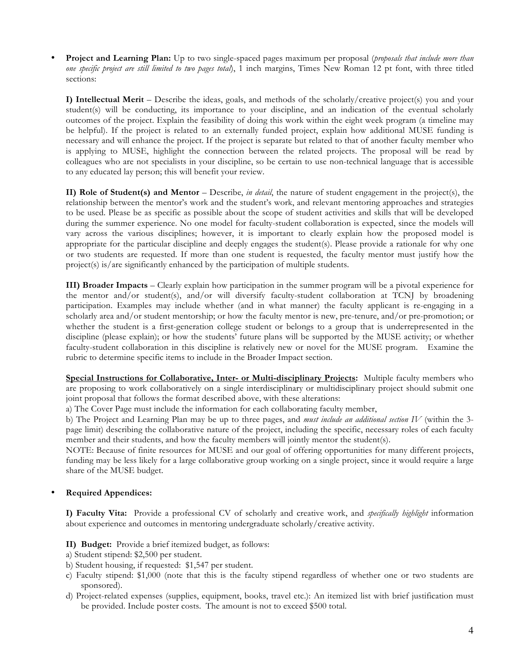• **Project and Learning Plan:** Up to two single-spaced pages maximum per proposal (*proposals that include more than one specific project are still limited to two pages total*), 1 inch margins, Times New Roman 12 pt font, with three titled sections:

**I) Intellectual Merit** – Describe the ideas, goals, and methods of the scholarly/creative project(s) you and your student(s) will be conducting, its importance to your discipline, and an indication of the eventual scholarly outcomes of the project. Explain the feasibility of doing this work within the eight week program (a timeline may be helpful). If the project is related to an externally funded project, explain how additional MUSE funding is necessary and will enhance the project. If the project is separate but related to that of another faculty member who is applying to MUSE, highlight the connection between the related projects. The proposal will be read by colleagues who are not specialists in your discipline, so be certain to use non-technical language that is accessible to any educated lay person; this will benefit your review.

**II) Role of Student(s) and Mentor** – Describe, *in detail*, the nature of student engagement in the project(s), the relationship between the mentor's work and the student's work, and relevant mentoring approaches and strategies to be used. Please be as specific as possible about the scope of student activities and skills that will be developed during the summer experience. No one model for faculty-student collaboration is expected, since the models will vary across the various disciplines; however, it is important to clearly explain how the proposed model is appropriate for the particular discipline and deeply engages the student(s). Please provide a rationale for why one or two students are requested. If more than one student is requested, the faculty mentor must justify how the project(s) is/are significantly enhanced by the participation of multiple students.

**III) Broader Impacts** – Clearly explain how participation in the summer program will be a pivotal experience for the mentor and/or student(s), and/or will diversify faculty-student collaboration at TCNJ by broadening participation. Examples may include whether (and in what manner) the faculty applicant is re-engaging in a scholarly area and/or student mentorship; or how the faculty mentor is new, pre-tenure, and/or pre-promotion; or whether the student is a first-generation college student or belongs to a group that is underrepresented in the discipline (please explain); or how the students' future plans will be supported by the MUSE activity; or whether faculty-student collaboration in this discipline is relatively new or novel for the MUSE program. Examine the rubric to determine specific items to include in the Broader Impact section.

**Special Instructions for Collaborative, Inter- or Multi-disciplinary Projects:** Multiple faculty members who are proposing to work collaboratively on a single interdisciplinary or multidisciplinary project should submit one joint proposal that follows the format described above, with these alterations:

a) The Cover Page must include the information for each collaborating faculty member,

b) The Project and Learning Plan may be up to three pages, and *must include an additional section IV* (within the 3 page limit) describing the collaborative nature of the project, including the specific, necessary roles of each faculty member and their students, and how the faculty members will jointly mentor the student(s).

NOTE: Because of finite resources for MUSE and our goal of offering opportunities for many different projects, funding may be less likely for a large collaborative group working on a single project, since it would require a large share of the MUSE budget.

#### • **Required Appendices:**

**I) Faculty Vita:** Provide a professional CV of scholarly and creative work, and *specifically highlight* information about experience and outcomes in mentoring undergraduate scholarly/creative activity.

- **II) Budget:** Provide a brief itemized budget, as follows:
- a) Student stipend: \$2,500 per student.
- b) Student housing, if requested: \$1,547 per student.
- c) Faculty stipend: \$1,000 (note that this is the faculty stipend regardless of whether one or two students are sponsored).
- d) Project-related expenses (supplies, equipment, books, travel etc.): An itemized list with brief justification must be provided. Include poster costs. The amount is not to exceed \$500 total.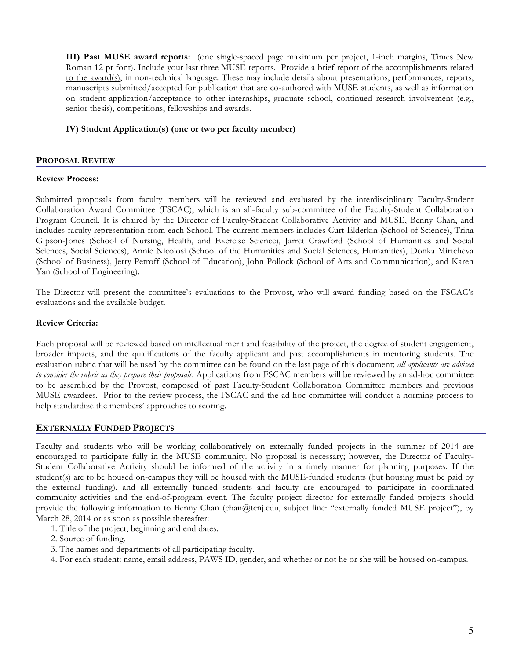**III) Past MUSE award reports:** (one single-spaced page maximum per project, 1-inch margins, Times New Roman 12 pt font). Include your last three MUSE reports. Provide a brief report of the accomplishments related to the award(s), in non-technical language. These may include details about presentations, performances, reports, manuscripts submitted/accepted for publication that are co-authored with MUSE students, as well as information on student application/acceptance to other internships, graduate school, continued research involvement (e.g., senior thesis), competitions, fellowships and awards.

#### **IV) Student Application(s) (one or two per faculty member)**

#### **PROPOSAL REVIEW**

#### **Review Process:**

Submitted proposals from faculty members will be reviewed and evaluated by the interdisciplinary Faculty-Student Collaboration Award Committee (FSCAC), which is an all-faculty sub-committee of the Faculty-Student Collaboration Program Council. It is chaired by the Director of Faculty-Student Collaborative Activity and MUSE, Benny Chan, and includes faculty representation from each School. The current members includes Curt Elderkin (School of Science), Trina Gipson-Jones (School of Nursing, Health, and Exercise Science), Jarret Crawford (School of Humanities and Social Sciences, Social Sciences), Annie Nicolosi (School of the Humanities and Social Sciences, Humanities), Donka Mirtcheva (School of Business), Jerry Petroff (School of Education), John Pollock (School of Arts and Communication), and Karen Yan (School of Engineering).

The Director will present the committee's evaluations to the Provost, who will award funding based on the FSCAC's evaluations and the available budget.

#### **Review Criteria:**

Each proposal will be reviewed based on intellectual merit and feasibility of the project, the degree of student engagement, broader impacts, and the qualifications of the faculty applicant and past accomplishments in mentoring students. The evaluation rubric that will be used by the committee can be found on the last page of this document; *all applicants are advised to consider the rubric as they prepare their proposals.* Applications from FSCAC members will be reviewed by an ad-hoc committee to be assembled by the Provost, composed of past Faculty-Student Collaboration Committee members and previous MUSE awardees. Prior to the review process, the FSCAC and the ad-hoc committee will conduct a norming process to help standardize the members' approaches to scoring.

#### **EXTERNALLY FUNDED PROJECTS**

Faculty and students who will be working collaboratively on externally funded projects in the summer of 2014 are encouraged to participate fully in the MUSE community. No proposal is necessary; however, the Director of Faculty-Student Collaborative Activity should be informed of the activity in a timely manner for planning purposes. If the student(s) are to be housed on-campus they will be housed with the MUSE-funded students (but housing must be paid by the external funding), and all externally funded students and faculty are encouraged to participate in coordinated community activities and the end-of-program event. The faculty project director for externally funded projects should provide the following information to Benny Chan (chan@tcnj.edu, subject line: "externally funded MUSE project"), by March 28, 2014 or as soon as possible thereafter:

- 1. Title of the project, beginning and end dates.
- 2. Source of funding.
- 3. The names and departments of all participating faculty.
- 4. For each student: name, email address, PAWS ID, gender, and whether or not he or she will be housed on-campus.